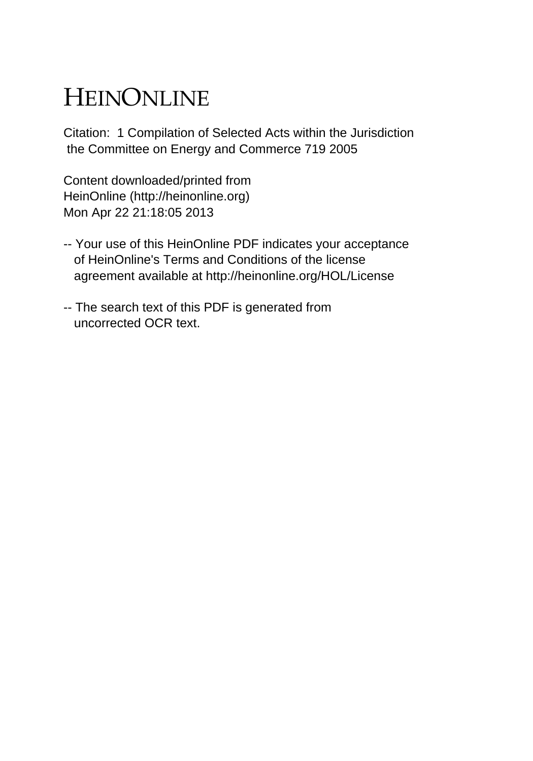# HEINONLINE

Citation: 1 Compilation of Selected Acts within the Jurisdiction the Committee on Energy and Commerce 719 2005

Content downloaded/printed from HeinOnline (http://heinonline.org) Mon Apr 22 21:18:05 2013

- -- Your use of this HeinOnline PDF indicates your acceptance of HeinOnline's Terms and Conditions of the license agreement available at http://heinonline.org/HOL/License
- -- The search text of this PDF is generated from uncorrected OCR text.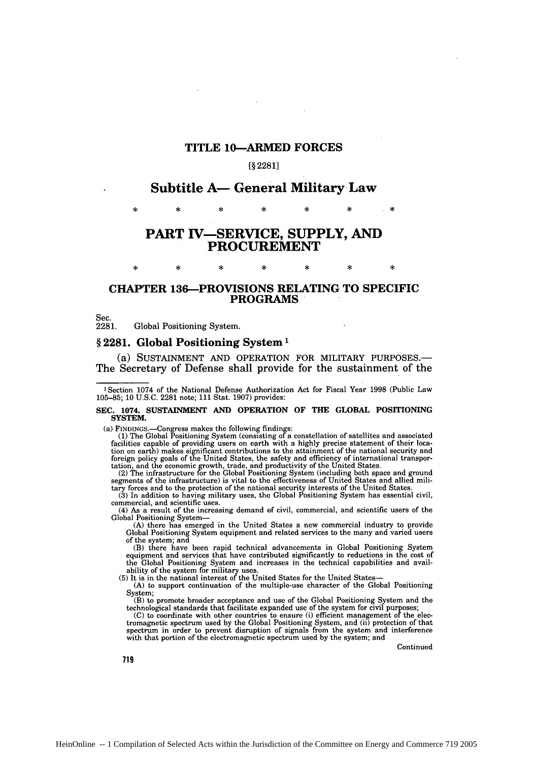## TITLE 10-ARMED FORCES

### **[§ 2281]**

## **Subtitle A- General Military Law**

\* **\* \* \* \* \* .\***

# **PART TV-SERVICE, SUPPLY, AND PROCUREMENT**

 $\ast$ 

sk.

 $\mathbf{\hat{x}}$ 

×

## CHAPTER 136-PROVISIONS **RELATING** TO SPECIFIC PROGRAMS

Sec.

sk.

sk.

**2281.** Global Positioning System.

×

## § 2281. Global Positioning System<sup>1</sup>

 $\ast$ 

(a) SUSTAINMENT AND OPERATION FOR MILITARY **PURPOSES.-** The Secretary of Defense shall provide for the sustainment of the

#### **SEC. 1074. SUSTAINMENT AND OPERATION OF THE GLOBAL POSITIONING SYSTEM.**

(a) FINDINGs.-Congress makes the following findings: (1) The Global Positioning System (consisting of a constellation of satellites and associated facilities capable of providing users on earth with a highly precise statement of their location on earth) makes significant contributions to the attainment of the national security and<br>foreign policy goals of the United States, the safety and efficiency of international transpor-<br>tation, and the economic growth,

tary forces and to the protection of the national security interests of the United States. (3) In addition to having military uses, the Global Positioning System has essential civil,

commercial, and scientific uses.

(4) As a result of the increasing demand of civil, commercial, and scientific users of the Global Positioning System-

(A) there has emerged in the United States a new commercial industry to provide Global Positioning System equipment and related services to the many and varied users of the system; and

(B) there have been rapid technical advancements in Global Positioning System equipment and services that have contributed significantly to reductions in the cost of the Global Positioning System and increases in the technical capabilities and availability of the system for military uses. (5) It is in the national interest of the United States for the United States-

(A) to support continuation of the multiple-use character of the Global Positioning System;

(B) to promote broader acceptance and use of the Global Positioning System and the technological standards that facilitate expanded use of the system for civil purposes;

 $(C)$  to coordinate with other countries to ensure (i) efficient management of the electromagnetic spectrum used by the Global Positioning System, and (ii) protection of that poetrum in order to prevent disruption of signa

Continued

719

**<sup>1</sup>** Section 1074 of the National Defense Authorization Act for Fiscal Year 1998 (Public Law 105-85; 10 **U.S.C.** 2281 note; 111 Stat. 1907) provides: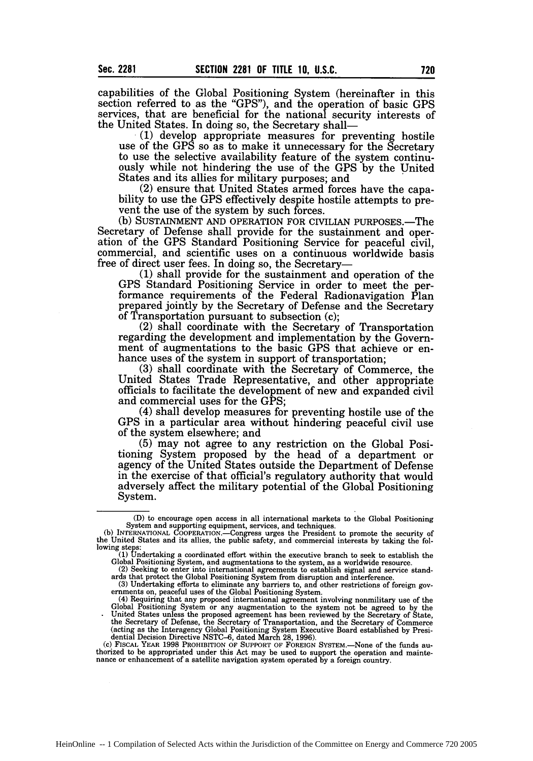capabilities of the Global Positioning System (hereinafter in this section referred to as the "GPS"), and the operation of basic GPS services, that are beneficial for the national security interests of the United States. In doing so, the Secretary shall—

(1) develop appropriate measures for preventing hostile use of the GPS so as to make it unnecessary for the Secretary to use the selective availability feature of the system continuously while not hindering the use of the GPS by the United States and its allies for military purposes; and<br>(2) ensure that United States armed forces have the capa-

bility to use the GPS effectively despite hostile attempts to prevent the use of the system by such forces.

(b) SUSTAINMENT AND OPERATION FOR CIVILIAN PURPOSES.—The Secretary of Defense shall provide for the sustainment and operation of the GPS Standard Positioning Service for peaceful civil, commercial, and scientific uses on a continuous worldwide basis free of direct user fees. In doing so, the Secretary-

**(1)** shall provide for the sustainment and operation of the GPS Standard Positioning Service in order to meet the performance requirements of the Federal Radionavigation Plan prepared jointly by the Secretary of Defense and the Secretary of Transportation pursuant to subsection (c);

(2) shall coordinate with the Secretary of Transportation regarding the development and implementation by the Government of augmentations to the basic GPS that achieve or enhance uses of the system in support of transportation;

(3) shall coordinate with the Secretary of Commerce, the United States Trade Representative, and other appropriate officials to facilitate the development of new and expanded civil and commercial uses for the GPS;

(4) shall develop measures for preventing hostile use of the **GPS** in a particular area without hindering peaceful civil use of the system elsewhere; and

(5) may not agree to any restriction on the Global Positioning System proposed by the head of a department or agency of the United States outside the Department of Defense in the exercise of that official's regulatory authority that would adversely affect the military potential of the Global Positioning System.

(c) FISCAL YEAR 1998 PROHIBITION **OF** SUPPORT **OF FOREIGN** SYSTEM.-None of the funds authorized to be appropriated under this Act may be used to support the operation and mainte- nance or enhancement of a satellite navigation system operated by a foreign country.

<sup>(</sup>D) to encourage open access in all international markets to the Global Positioning System and supporting equipment, services, and techniques.<br>(b) INTERNATIONAL COOPERATION—Congress urges the President to promote the secur

the United States and its allies, the public safety, and commercial interests by taking the following steps:

<sup>(1)</sup> Undertaking a coordinated effort within the executive branch to seek to establish the Global Positioning System, and augmentations to the system, as a worldwide resource.<br>(2) Seeking to enter into international agreeme

<sup>(2)</sup> Seeking to enter into international agreements to establish signal and service standards that protect the Global Positioning System from disruption and interference.

<sup>(3)</sup> Undertaking efforts to eliminate any barriers to, and other restrictions of foreign governments on, peaceful uses of the Global Positioning System.

<sup>(4)</sup> Requiring that any proposed international agreement involving nonmilitary use of the<br>Global Positioning System or any augmentational agreement involving nonmilitary use of the<br>Global Positioning System or any augmentat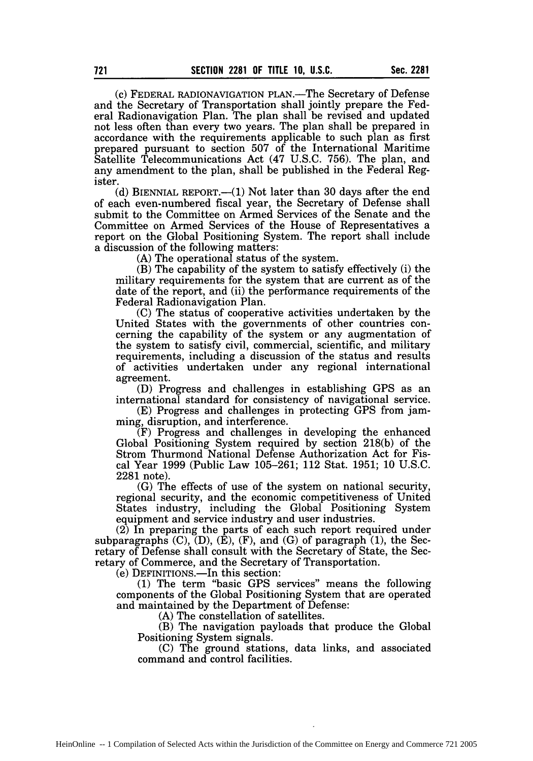(c) FEDERAL RADIONAVIGATION PLAN.-The Secretary of Defense and the Secretary of Transportation shall jointly prepare the Federal Radionavigation Plan. The plan shall be revised and updated not less often than every two years. The plan shall be prepared in accordance with the requirements applicable to such plan as first prepared pursuant to section 507 of the International Maritime Satellite Telecommunications Act (47 U.S.C. 756). The plan, and any amendment to the plan, shall be published in the Federal Register.

(d) BIENNIAL REPORT.— $(1)$  Not later than 30 days after the end of each even-numbered fiscal year, the Secretary of Defense shall submit to the Committee on Armed Services of the Senate and the Committee on Armed Services of the House of Representatives a report on the Global Positioning System. The report shall include a discussion of the following matters:

(A) The operational status of the system.

(B) The capability of the system to satisfy effectively (i) the military requirements for the system that are current as of the date of the report, and (ii) the performance requirements of the Federal Radionavigation Plan.

(C) The status of cooperative activities undertaken by the United States with the governments of other countries concerning the capability of the system or any augmentation of the system to satisfy civil, commercial, scientific, and military requirements, including a discussion of the status and results of activities undertaken under any regional international agreement.

(D) Progress and challenges in establishing GPS as an international standard for consistency of navigational service.

(E) Progress and challenges in protecting GPS from jamming, disruption, and interference.

(F) Progress and challenges in developing the enhanced Global Positioning System required by section 218(b) of the Strom Thurmond National Defense Authorization Act for Fiscal Year 1999 (Public Law 105-261; 112 Stat. 1951; 10 U.S.C. 2281 note).

(G) The effects of use of the system on national security, regional security, and the economic competitiveness of United States industry, including the Global Positioning System equipment and service industry and user industries.

(2) In preparing the parts of each such report required under subparagraphs  $(C)$ ,  $(D)$ ,  $(\dot{E})$ ,  $(F)$ , and  $(G)$  of paragraph  $(1)$ , the Secretary of Defense shall consult with the Secretary of State, the Secretary of Commerce, and the Secretary of Transportation.

(e) DEFINITIONS.—In this section:

(1) The term "basic GPS services" means the following components of the Global Positioning System that are operated and maintained by the Department of Defense:

(A) The constellation of satellites.

(B) The navigation payloads that produce the Global Positioning System signals.

(C) The ground stations, data links, and associated command and control facilities.